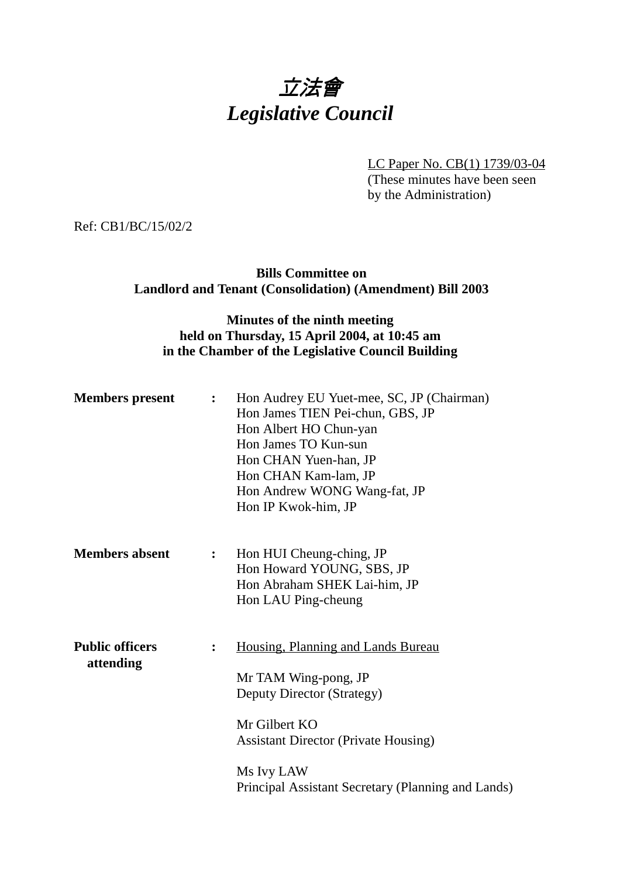# 立法會 *Legislative Council*

LC Paper No. CB(1) 1739/03-04 (These minutes have been seen by the Administration)

Ref: CB1/BC/15/02/2

#### **Bills Committee on Landlord and Tenant (Consolidation) (Amendment) Bill 2003**

### **Minutes of the ninth meeting held on Thursday, 15 April 2004, at 10:45 am in the Chamber of the Legislative Council Building**

| <b>Members</b> present              | $\mathbf{L}$   | Hon Audrey EU Yuet-mee, SC, JP (Chairman)<br>Hon James TIEN Pei-chun, GBS, JP<br>Hon Albert HO Chun-yan<br>Hon James TO Kun-sun<br>Hon CHAN Yuen-han, JP<br>Hon CHAN Kam-lam, JP<br>Hon Andrew WONG Wang-fat, JP<br>Hon IP Kwok-him, JP |
|-------------------------------------|----------------|-----------------------------------------------------------------------------------------------------------------------------------------------------------------------------------------------------------------------------------------|
| <b>Members absent</b>               | $\ddot{\cdot}$ | Hon HUI Cheung-ching, JP<br>Hon Howard YOUNG, SBS, JP<br>Hon Abraham SHEK Lai-him, JP<br>Hon LAU Ping-cheung                                                                                                                            |
| <b>Public officers</b><br>attending | $\ddot{\cdot}$ | Housing, Planning and Lands Bureau<br>Mr TAM Wing-pong, JP<br>Deputy Director (Strategy)<br>Mr Gilbert KO<br><b>Assistant Director (Private Housing)</b><br>Ms Ivy LAW<br>Principal Assistant Secretary (Planning and Lands)            |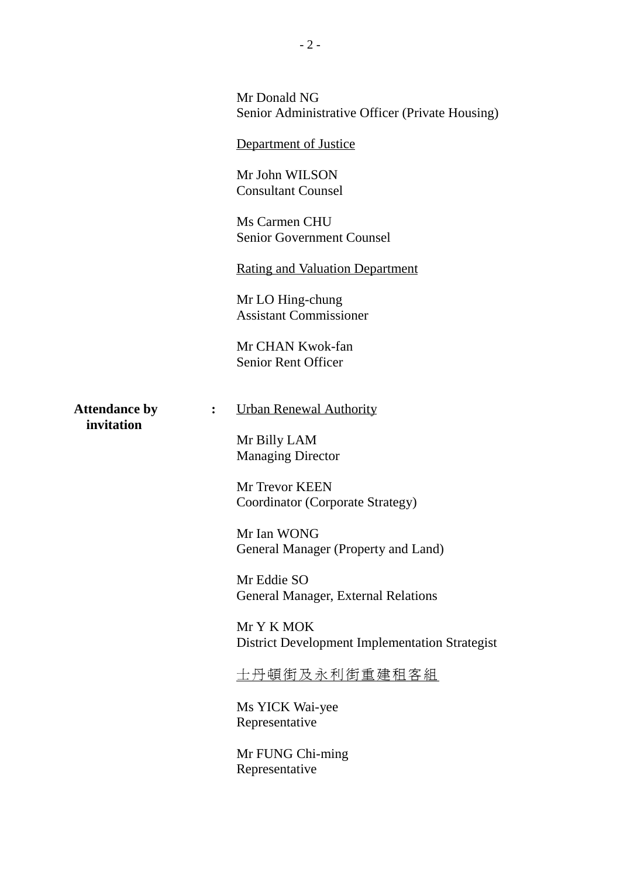|                                                      | Mr Donald NG<br>Senior Administrative Officer (Private Housing) |
|------------------------------------------------------|-----------------------------------------------------------------|
|                                                      | Department of Justice                                           |
|                                                      | Mr John WILSON<br><b>Consultant Counsel</b>                     |
|                                                      | Ms Carmen CHU<br><b>Senior Government Counsel</b>               |
|                                                      | <b>Rating and Valuation Department</b>                          |
|                                                      | Mr LO Hing-chung<br><b>Assistant Commissioner</b>               |
|                                                      | Mr CHAN Kwok-fan<br><b>Senior Rent Officer</b>                  |
| <b>Attendance by</b><br>$\ddot{\cdot}$<br>invitation | <b>Urban Renewal Authority</b>                                  |
|                                                      | Mr Billy LAM<br><b>Managing Director</b>                        |
|                                                      | Mr Trevor KEEN<br>Coordinator (Corporate Strategy)              |
|                                                      | Mr Ian WONG<br>General Manager (Property and Land)              |
|                                                      | Mr Eddie SO<br><b>General Manager, External Relations</b>       |
|                                                      | Mr Y K MOK<br>District Development Implementation Strategist    |
|                                                      | <u>士丹頓街及永利街重建租客組</u>                                            |
|                                                      | Ms YICK Wai-yee<br>Representative                               |
|                                                      | Mr FUNG Chi-ming<br>Representative                              |
|                                                      |                                                                 |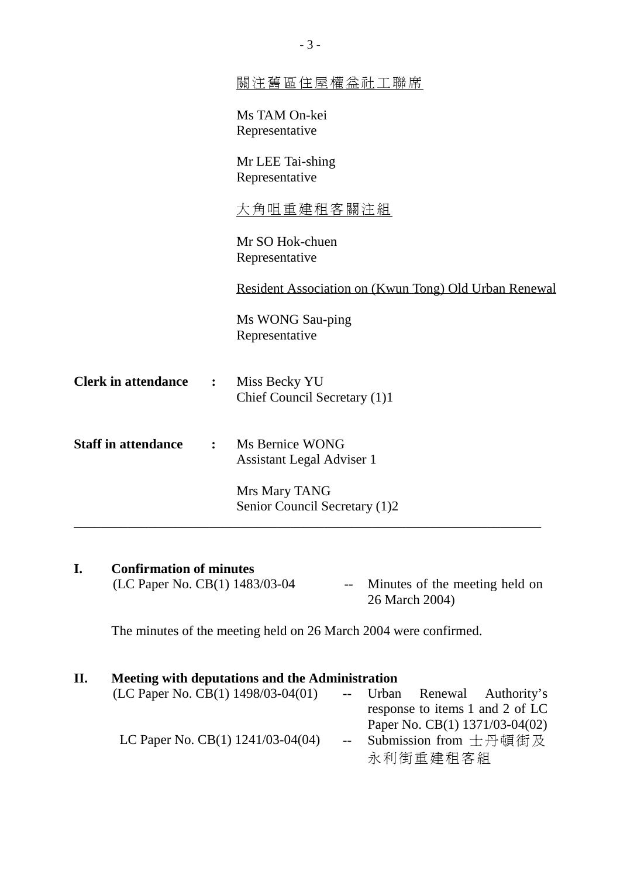|                            |                | 图注舊區住屋權益社工聯席                                          |
|----------------------------|----------------|-------------------------------------------------------|
|                            |                | Ms TAM On-kei<br>Representative                       |
|                            |                | Mr LEE Tai-shing<br>Representative                    |
|                            |                | <u>大角咀重建租客關注組</u>                                     |
|                            |                | Mr SO Hok-chuen<br>Representative                     |
|                            |                | Resident Association on (Kwun Tong) Old Urban Renewal |
|                            |                | Ms WONG Sau-ping<br>Representative                    |
| <b>Clerk in attendance</b> | :              | Miss Becky YU<br>Chief Council Secretary (1)1         |
| <b>Staff in attendance</b> | $\ddot{\cdot}$ | Ms Bernice WONG<br><b>Assistant Legal Adviser 1</b>   |
|                            |                | Mrs Mary TANG<br>Senior Council Secretary (1)2        |
|                            |                |                                                       |

#### **I. Confirmation of minutes** (LC Paper No. CB $(1)$  1483/03-04 -- Minutes of the meeting held on 26 March 2004)

The minutes of the meeting held on 26 March 2004 were confirmed.

## **II. Meeting with deputations and the Administration**

| (LC Paper No. CB(1) $1498/03-04(01)$    |  |          | -- Urban Renewal Authority's    |
|-----------------------------------------|--|----------|---------------------------------|
|                                         |  |          | response to items 1 and 2 of LC |
|                                         |  |          | Paper No. CB(1) 1371/03-04(02)  |
| LC Paper No. CB $(1)$ 1241/03-04 $(04)$ |  |          | -- Submission from 士丹頓街及        |
|                                         |  | 永利街重建租客組 |                                 |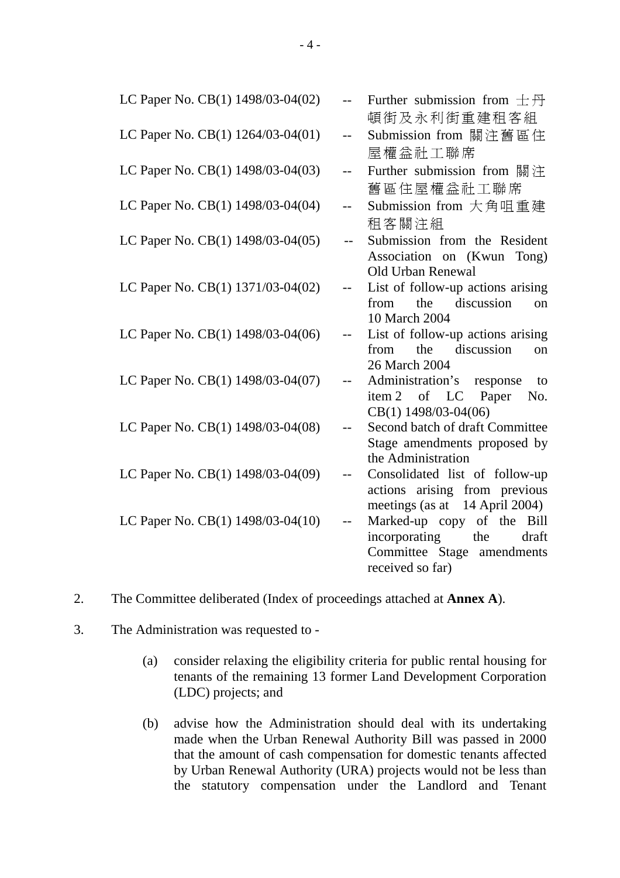| LC Paper No. CB(1) 1498/03-04(02) |       | Further submission from $\pm \overline{\beta}$ |
|-----------------------------------|-------|------------------------------------------------|
|                                   |       | 頓街及永利街重建租客組                                    |
| LC Paper No. CB(1) 1264/03-04(01) | $-$   | Submission from 關注舊區住                          |
|                                   |       | 屋權益社工聯席                                        |
| LC Paper No. CB(1) 1498/03-04(03) | $-$   | Further submission from 關注                     |
|                                   |       | 舊區住屋權益社工聯席                                     |
| LC Paper No. CB(1) 1498/03-04(04) | $-$   | Submission from 大角咀重建                          |
|                                   |       | 租客關注組                                          |
| LC Paper No. CB(1) 1498/03-04(05) |       | Submission from the Resident                   |
|                                   |       | Association on (Kwun Tong)                     |
|                                   |       | Old Urban Renewal                              |
| LC Paper No. CB(1) 1371/03-04(02) |       | List of follow-up actions arising              |
|                                   |       | discussion<br>the<br>from<br><sub>on</sub>     |
|                                   |       | 10 March 2004                                  |
| LC Paper No. CB(1) 1498/03-04(06) |       | List of follow-up actions arising              |
|                                   |       | discussion<br>the<br>from<br>on                |
|                                   |       | 26 March 2004                                  |
| LC Paper No. CB(1) 1498/03-04(07) |       | Administration's response<br>to                |
|                                   |       | item 2 of LC Paper<br>No.                      |
|                                   |       | CB(1) 1498/03-04(06)                           |
| LC Paper No. CB(1) 1498/03-04(08) | $- -$ | Second batch of draft Committee                |
|                                   |       | Stage amendments proposed by                   |
|                                   |       | the Administration                             |
| LC Paper No. CB(1) 1498/03-04(09) |       | Consolidated list of follow-up                 |
|                                   |       | actions arising from previous                  |
|                                   |       | meetings (as at 14 April 2004)                 |
| LC Paper No. CB(1) 1498/03-04(10) |       | Marked-up copy of the Bill                     |
|                                   |       | incorporating<br>the<br>draft                  |
|                                   |       | Committee Stage amendments                     |
|                                   |       | received so far)                               |

- 2. The Committee deliberated (Index of proceedings attached at **Annex A**).
- 3. The Administration was requested to
	- (a) consider relaxing the eligibility criteria for public rental housing for tenants of the remaining 13 former Land Development Corporation (LDC) projects; and
	- (b) advise how the Administration should deal with its undertaking made when the Urban Renewal Authority Bill was passed in 2000 that the amount of cash compensation for domestic tenants affected by Urban Renewal Authority (URA) projects would not be less than the statutory compensation under the Landlord and Tenant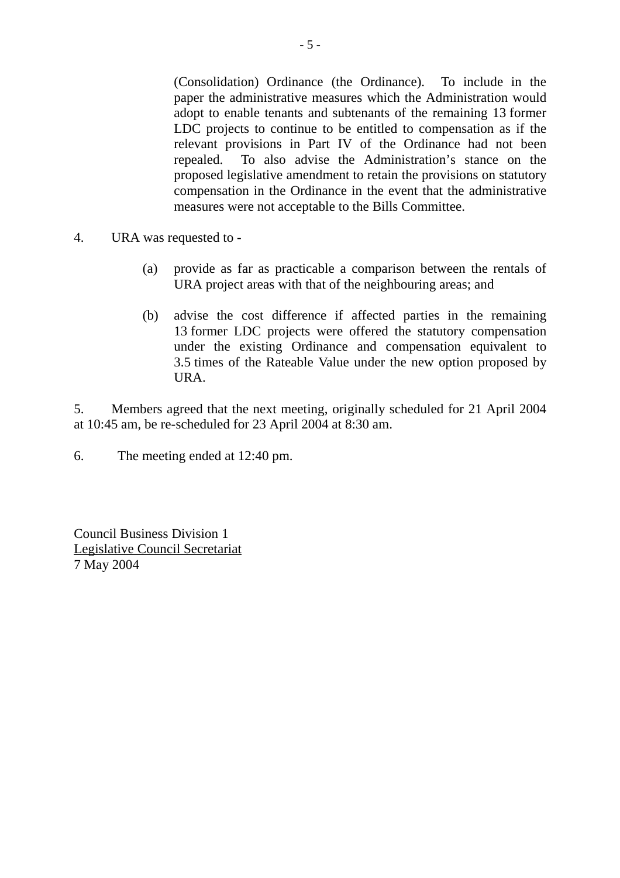(Consolidation) Ordinance (the Ordinance). To include in the paper the administrative measures which the Administration would adopt to enable tenants and subtenants of the remaining 13 former LDC projects to continue to be entitled to compensation as if the relevant provisions in Part IV of the Ordinance had not been repealed. To also advise the Administration's stance on the proposed legislative amendment to retain the provisions on statutory compensation in the Ordinance in the event that the administrative measures were not acceptable to the Bills Committee.

- 4. URA was requested to
	- (a) provide as far as practicable a comparison between the rentals of URA project areas with that of the neighbouring areas; and
	- (b) advise the cost difference if affected parties in the remaining 13 former LDC projects were offered the statutory compensation under the existing Ordinance and compensation equivalent to 3.5 times of the Rateable Value under the new option proposed by URA.

5. Members agreed that the next meeting, originally scheduled for 21 April 2004 at 10:45 am, be re-scheduled for 23 April 2004 at 8:30 am.

6. The meeting ended at 12:40 pm.

Council Business Division 1 Legislative Council Secretariat 7 May 2004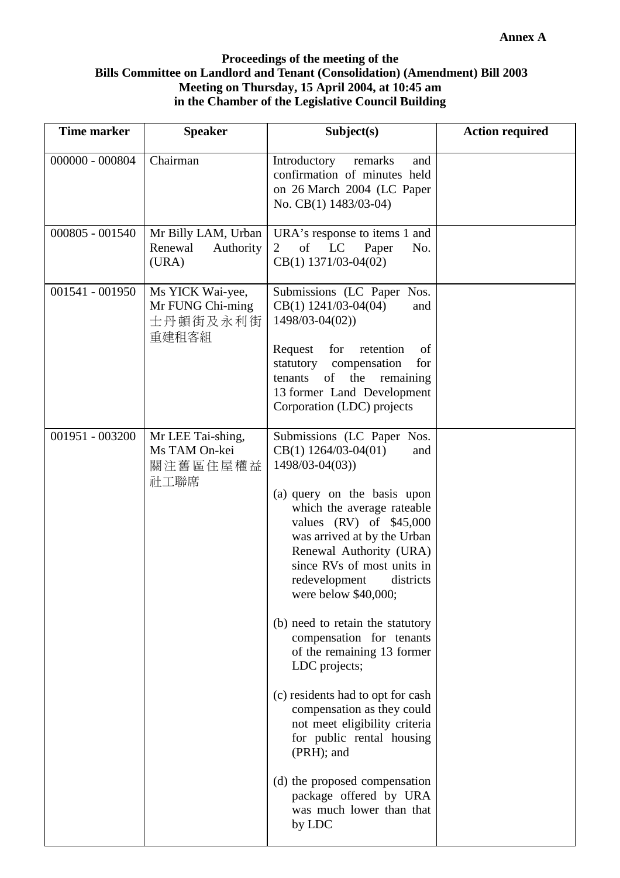#### **Proceedings of the meeting of the Bills Committee on Landlord and Tenant (Consolidation) (Amendment) Bill 2003 Meeting on Thursday, 15 April 2004, at 10:45 am in the Chamber of the Legislative Council Building**

| <b>Time marker</b> | <b>Speaker</b>                                            | Subject(s)                                                                                                                                                                                                                                                                                                                                                                                                                                                                                                                                                                                                                                                                               | <b>Action required</b> |
|--------------------|-----------------------------------------------------------|------------------------------------------------------------------------------------------------------------------------------------------------------------------------------------------------------------------------------------------------------------------------------------------------------------------------------------------------------------------------------------------------------------------------------------------------------------------------------------------------------------------------------------------------------------------------------------------------------------------------------------------------------------------------------------------|------------------------|
| $000000 - 000804$  | Chairman                                                  | Introductory<br>remarks<br>and<br>confirmation of minutes held<br>on 26 March 2004 (LC Paper<br>No. CB(1) 1483/03-04)                                                                                                                                                                                                                                                                                                                                                                                                                                                                                                                                                                    |                        |
| 000805 - 001540    | Mr Billy LAM, Urban<br>Renewal<br>Authority<br>(URA)      | URA's response to items 1 and<br>LC<br>of<br>Paper<br>No.<br>2<br>$CB(1)$ 1371/03-04(02)                                                                                                                                                                                                                                                                                                                                                                                                                                                                                                                                                                                                 |                        |
| 001541 - 001950    | Ms YICK Wai-yee,<br>Mr FUNG Chi-ming<br>士丹頓街及永利街<br>重建租客組 | Submissions (LC Paper Nos.<br>$CB(1)$ 1241/03-04(04)<br>and<br>1498/03-04(02))<br>Request<br>for<br>retention<br>of<br>statutory compensation<br>for<br>of the remaining<br>tenants<br>13 former Land Development<br>Corporation (LDC) projects                                                                                                                                                                                                                                                                                                                                                                                                                                          |                        |
| 001951 - 003200    | Mr LEE Tai-shing,<br>Ms TAM On-kei<br>關注舊區住屋權益<br>社工聯席    | Submissions (LC Paper Nos.<br>$CB(1)$ 1264/03-04(01)<br>and<br>$1498/03 - 04(03)$<br>(a) query on the basis upon<br>which the average rateable<br>values $(RV)$ of \$45,000<br>was arrived at by the Urban<br>Renewal Authority (URA)<br>since RVs of most units in<br>redevelopment<br>districts<br>were below \$40,000;<br>(b) need to retain the statutory<br>compensation for tenants<br>of the remaining 13 former<br>LDC projects;<br>(c) residents had to opt for cash<br>compensation as they could<br>not meet eligibility criteria<br>for public rental housing<br>(PRH); and<br>(d) the proposed compensation<br>package offered by URA<br>was much lower than that<br>by LDC |                        |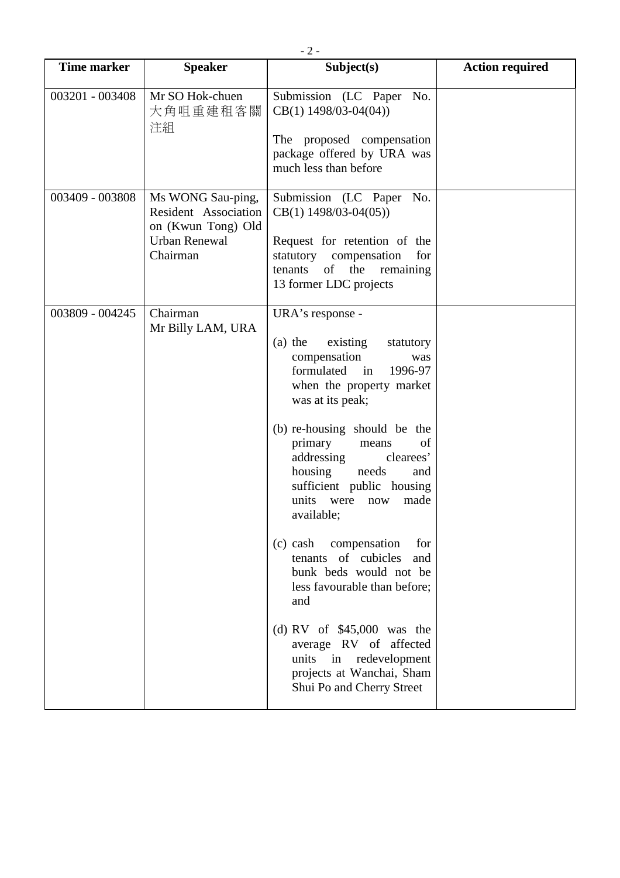| <b>Time marker</b> | <b>Speaker</b>                                                                                      | Subject(s)                                                                                                                                                                                                                                                                                                                                                                                                                                                                                                                                                                                                                                  | <b>Action required</b> |
|--------------------|-----------------------------------------------------------------------------------------------------|---------------------------------------------------------------------------------------------------------------------------------------------------------------------------------------------------------------------------------------------------------------------------------------------------------------------------------------------------------------------------------------------------------------------------------------------------------------------------------------------------------------------------------------------------------------------------------------------------------------------------------------------|------------------------|
| 003201 - 003408    | Mr SO Hok-chuen<br>大角咀重建租客關<br>注組                                                                   | Submission (LC Paper No.<br>$CB(1)$ 1498/03-04(04))<br>The proposed compensation<br>package offered by URA was<br>much less than before                                                                                                                                                                                                                                                                                                                                                                                                                                                                                                     |                        |
| 003409 - 003808    | Ms WONG Sau-ping,<br>Resident Association<br>on (Kwun Tong) Old<br><b>Urban Renewal</b><br>Chairman | Submission (LC Paper No.<br>$CB(1)$ 1498/03-04(05))<br>Request for retention of the<br>statutory compensation<br>for<br>the<br>tenants<br>of<br>remaining<br>13 former LDC projects                                                                                                                                                                                                                                                                                                                                                                                                                                                         |                        |
| 003809 - 004245    | Chairman<br>Mr Billy LAM, URA                                                                       | URA's response -<br>$(a)$ the<br>existing<br>statutory<br>compensation<br>was<br>formulated<br>1996-97<br>in<br>when the property market<br>was at its peak;<br>(b) re-housing should be the<br>primary<br>of<br>means<br>addressing<br>clearees'<br>housing<br>needs<br>and<br>sufficient public housing<br>units<br>were<br>made<br>now<br>available;<br>$(c)$ cash<br>compensation<br>for<br>tenants of cubicles<br>and<br>bunk beds would not be<br>less favourable than before;<br>and<br>(d) RV of $$45,000$ was the<br>average RV of affected<br>units in<br>redevelopment<br>projects at Wanchai, Sham<br>Shui Po and Cherry Street |                        |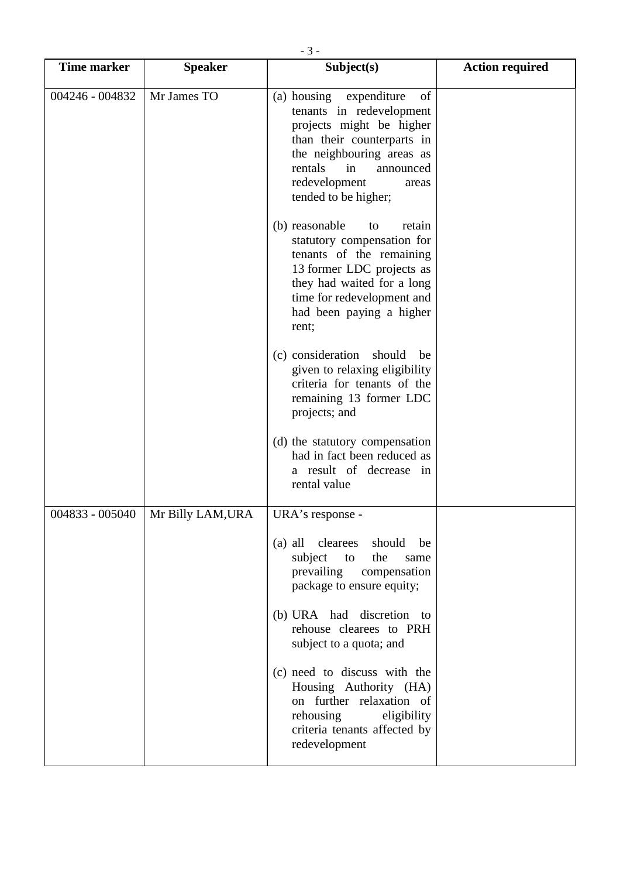| <b>Time marker</b> | <b>Speaker</b>    | Subject(s)                                                                                                                                                                                                                       | <b>Action required</b> |
|--------------------|-------------------|----------------------------------------------------------------------------------------------------------------------------------------------------------------------------------------------------------------------------------|------------------------|
| 004246 - 004832    | Mr James TO       | (a) housing expenditure<br>of<br>tenants in redevelopment<br>projects might be higher<br>than their counterparts in<br>the neighbouring areas as<br>rentals<br>in<br>announced<br>redevelopment<br>areas<br>tended to be higher; |                        |
|                    |                   | (b) reasonable<br>retain<br>to<br>statutory compensation for<br>tenants of the remaining<br>13 former LDC projects as<br>they had waited for a long<br>time for redevelopment and<br>had been paying a higher<br>rent;           |                        |
|                    |                   | (c) consideration<br>should<br>be<br>given to relaxing eligibility<br>criteria for tenants of the<br>remaining 13 former LDC<br>projects; and                                                                                    |                        |
|                    |                   | (d) the statutory compensation<br>had in fact been reduced as<br>a result of decrease in<br>rental value                                                                                                                         |                        |
| 004833 - 005040    | Mr Billy LAM, URA | URA's response -                                                                                                                                                                                                                 |                        |
|                    |                   | (a) all clearees<br>should<br>be<br>subject<br>the<br>to<br>same<br>prevailing<br>compensation<br>package to ensure equity;                                                                                                      |                        |
|                    |                   | (b) URA had discretion to<br>rehouse clearees to PRH<br>subject to a quota; and                                                                                                                                                  |                        |
|                    |                   | (c) need to discuss with the<br>Housing Authority (HA)<br>on further relaxation of<br>rehousing<br>eligibility<br>criteria tenants affected by<br>redevelopment                                                                  |                        |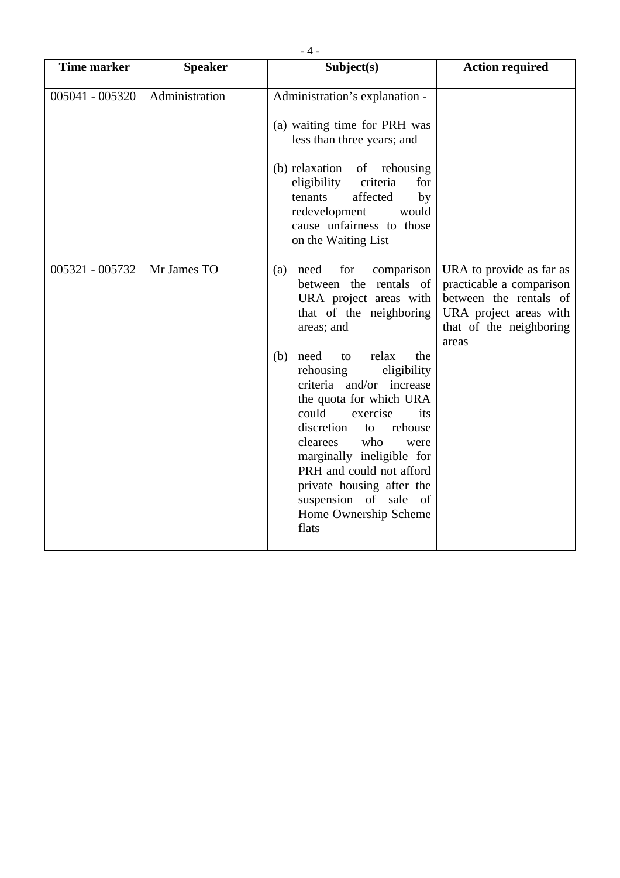| <b>Time marker</b> | <b>Speaker</b> | Subject(s)                                                                                                                                                                                                                                                                                                                                                                                                                                                                                   | <b>Action required</b>                                                                                                                       |
|--------------------|----------------|----------------------------------------------------------------------------------------------------------------------------------------------------------------------------------------------------------------------------------------------------------------------------------------------------------------------------------------------------------------------------------------------------------------------------------------------------------------------------------------------|----------------------------------------------------------------------------------------------------------------------------------------------|
| 005041 - 005320    | Administration | Administration's explanation -<br>(a) waiting time for PRH was<br>less than three years; and<br>(b) relaxation<br>of rehousing<br>eligibility<br>criteria<br>for<br>affected<br>tenants<br>by<br>redevelopment<br>would<br>cause unfairness to those<br>on the Waiting List                                                                                                                                                                                                                  |                                                                                                                                              |
| 005321 - 005732    | Mr James TO    | need<br>for<br>comparison<br>(a)<br>between the rentals of<br>URA project areas with<br>that of the neighboring<br>areas; and<br>(b)<br>need<br>relax<br>the<br>to<br>rehousing<br>eligibility<br>criteria and/or increase<br>the quota for which URA<br>could<br>exercise<br>its<br>discretion<br>rehouse<br>to<br>clearees<br>who<br>were<br>marginally ineligible for<br>PRH and could not afford<br>private housing after the<br>suspension of sale of<br>Home Ownership Scheme<br>flats | URA to provide as far as<br>practicable a comparison<br>between the rentals of<br>URA project areas with<br>that of the neighboring<br>areas |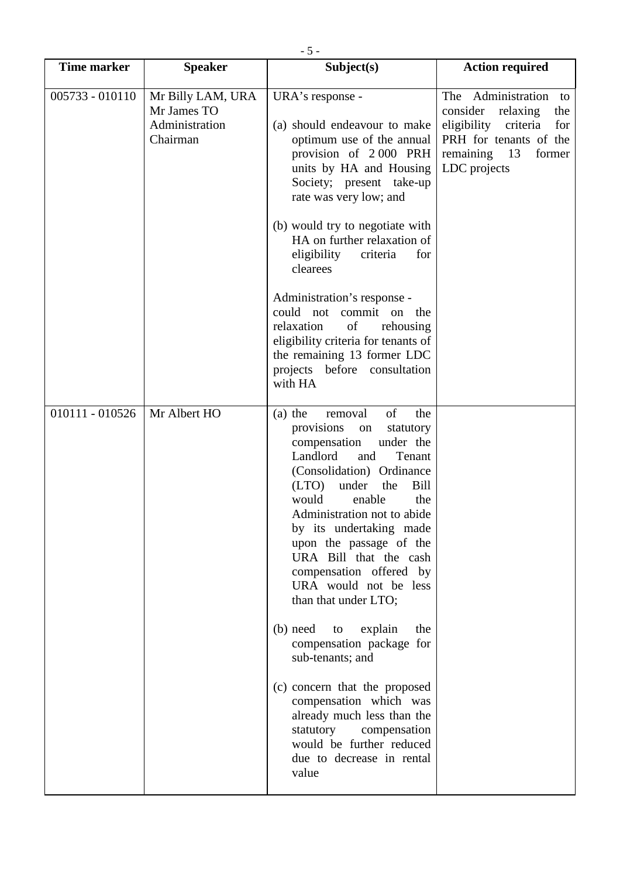| <b>Time marker</b> | <b>Speaker</b>                                                 | Subject(s)                                                                                                                                                                                                                                                                                                                                                                                                                                                                                                                                                                                                                                                                                    | <b>Action required</b>                                                                                                                                     |
|--------------------|----------------------------------------------------------------|-----------------------------------------------------------------------------------------------------------------------------------------------------------------------------------------------------------------------------------------------------------------------------------------------------------------------------------------------------------------------------------------------------------------------------------------------------------------------------------------------------------------------------------------------------------------------------------------------------------------------------------------------------------------------------------------------|------------------------------------------------------------------------------------------------------------------------------------------------------------|
| $005733 - 010110$  | Mr Billy LAM, URA<br>Mr James TO<br>Administration<br>Chairman | URA's response -<br>(a) should endeavour to make<br>optimum use of the annual<br>provision of 2000 PRH<br>units by HA and Housing<br>Society; present take-up<br>rate was very low; and<br>(b) would try to negotiate with<br>HA on further relaxation of<br>eligibility<br>criteria<br>for<br>clearees<br>Administration's response -<br>could not<br>commit on the<br>of<br>relaxation<br>rehousing<br>eligibility criteria for tenants of<br>the remaining 13 former LDC<br>projects before consultation<br>with HA                                                                                                                                                                        | The Administration to<br>consider<br>relaxing<br>the<br>eligibility<br>criteria<br>for<br>PRH for tenants of the<br>remaining 13<br>former<br>LDC projects |
| 010111 - 010526    | Mr Albert HO                                                   | of<br>removal<br>$(a)$ the<br>the<br>provisions<br>on<br>statutory<br>under the<br>compensation<br>Landlord<br>Tenant<br>and<br>(Consolidation) Ordinance<br>(LTO)<br>under<br>the<br>Bill<br>would<br>enable<br>the<br>Administration not to abide<br>by its undertaking made<br>upon the passage of the<br>URA Bill that the cash<br>compensation offered by<br>URA would not be less<br>than that under LTO;<br>$(b)$ need<br>explain<br>the<br>to<br>compensation package for<br>sub-tenants; and<br>(c) concern that the proposed<br>compensation which was<br>already much less than the<br>statutory<br>compensation<br>would be further reduced<br>due to decrease in rental<br>value |                                                                                                                                                            |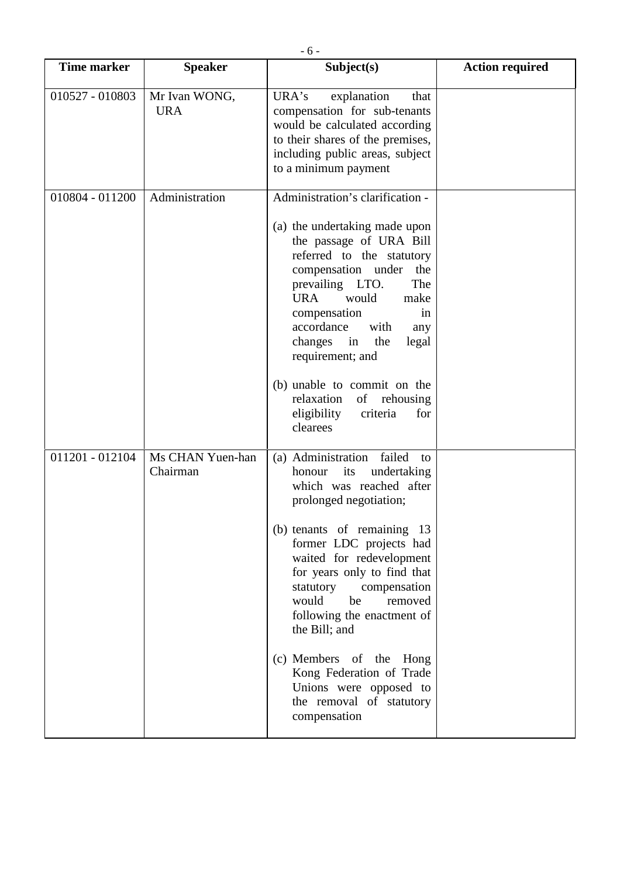| <b>Time marker</b> | <b>Speaker</b>               | Subject(s)                                                                                                                                                                                                                                                                                                                                         | <b>Action required</b> |
|--------------------|------------------------------|----------------------------------------------------------------------------------------------------------------------------------------------------------------------------------------------------------------------------------------------------------------------------------------------------------------------------------------------------|------------------------|
| 010527 - 010803    | Mr Ivan WONG,<br><b>URA</b>  | URA's<br>explanation<br>that<br>compensation for sub-tenants<br>would be calculated according<br>to their shares of the premises,<br>including public areas, subject<br>to a minimum payment                                                                                                                                                       |                        |
| 010804 - 011200    | Administration               | Administration's clarification -<br>(a) the undertaking made upon<br>the passage of URA Bill<br>referred to the statutory<br>compensation under<br>the<br>prevailing LTO.<br>The<br><b>URA</b><br>would<br>make<br>compensation<br>in<br>accordance<br>with<br>any<br>changes in<br>the<br>legal<br>requirement; and                               |                        |
|                    |                              | (b) unable to commit on the<br>relaxation<br>of rehousing<br>eligibility<br>criteria<br>for<br>clearees                                                                                                                                                                                                                                            |                        |
| 011201 - 012104    | Ms CHAN Yuen-han<br>Chairman | (a) Administration<br>failed<br>to<br>honour<br>its<br>undertaking<br>which was reached after<br>prolonged negotiation;<br>(b) tenants of remaining 13<br>former LDC projects had<br>waited for redevelopment<br>for years only to find that<br>statutory<br>compensation<br>would<br>be<br>removed<br>following the enactment of<br>the Bill; and |                        |
|                    |                              | (c) Members of the Hong<br>Kong Federation of Trade<br>Unions were opposed to<br>the removal of statutory<br>compensation                                                                                                                                                                                                                          |                        |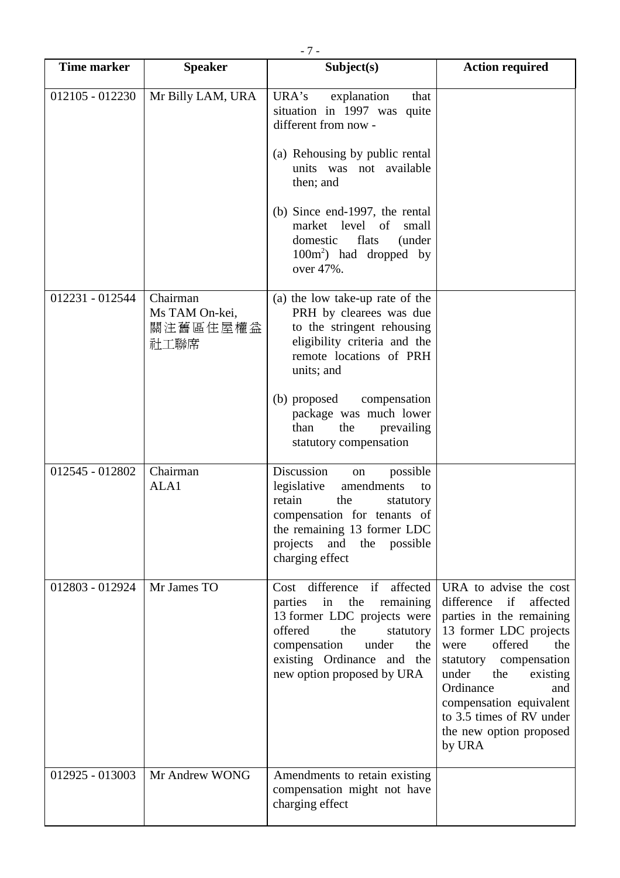| <b>Time marker</b> | <b>Speaker</b>                                 | Subject(s)                                                                                                                                                                                                                 | <b>Action required</b>                                                                                                                                                                                                                                                                                    |
|--------------------|------------------------------------------------|----------------------------------------------------------------------------------------------------------------------------------------------------------------------------------------------------------------------------|-----------------------------------------------------------------------------------------------------------------------------------------------------------------------------------------------------------------------------------------------------------------------------------------------------------|
| 012105 - 012230    | Mr Billy LAM, URA                              | URA's explanation<br>that<br>situation in 1997 was quite<br>different from now -<br>(a) Rehousing by public rental<br>units was not available<br>then; and<br>(b) Since end-1997, the rental                               |                                                                                                                                                                                                                                                                                                           |
|                    |                                                | market level of<br>small<br>flats<br>domestic<br>(under<br>$100m2$ ) had dropped by<br>over 47%.                                                                                                                           |                                                                                                                                                                                                                                                                                                           |
| 012231 - 012544    | Chairman<br>Ms TAM On-kei,<br>關注舊區住屋權益<br>社工聯席 | (a) the low take-up rate of the<br>PRH by clearees was due<br>to the stringent rehousing<br>eligibility criteria and the<br>remote locations of PRH<br>units; and                                                          |                                                                                                                                                                                                                                                                                                           |
|                    |                                                | (b) proposed compensation<br>package was much lower<br>than<br>the<br>prevailing<br>statutory compensation                                                                                                                 |                                                                                                                                                                                                                                                                                                           |
| 012545 - 012802    | Chairman<br>ALA1                               | Discussion<br>possible<br>on<br>legislative<br>amendments<br>to<br>retain<br>the<br>statutory<br>compensation for tenants of<br>the remaining 13 former LDC<br>projects<br>and the possible<br>charging effect             |                                                                                                                                                                                                                                                                                                           |
| 012803 - 012924    | Mr James TO                                    | Cost difference if affected<br>in<br>the<br>parties<br>remaining<br>13 former LDC projects were<br>offered<br>the<br>statutory<br>compensation<br>under<br>the<br>existing Ordinance and the<br>new option proposed by URA | URA to advise the cost<br>difference if<br>affected<br>parties in the remaining<br>13 former LDC projects<br>offered<br>the<br>were<br>statutory compensation<br>under<br>the<br>existing<br>Ordinance<br>and<br>compensation equivalent<br>to 3.5 times of RV under<br>the new option proposed<br>by URA |
| 012925 - 013003    | Mr Andrew WONG                                 | Amendments to retain existing<br>compensation might not have<br>charging effect                                                                                                                                            |                                                                                                                                                                                                                                                                                                           |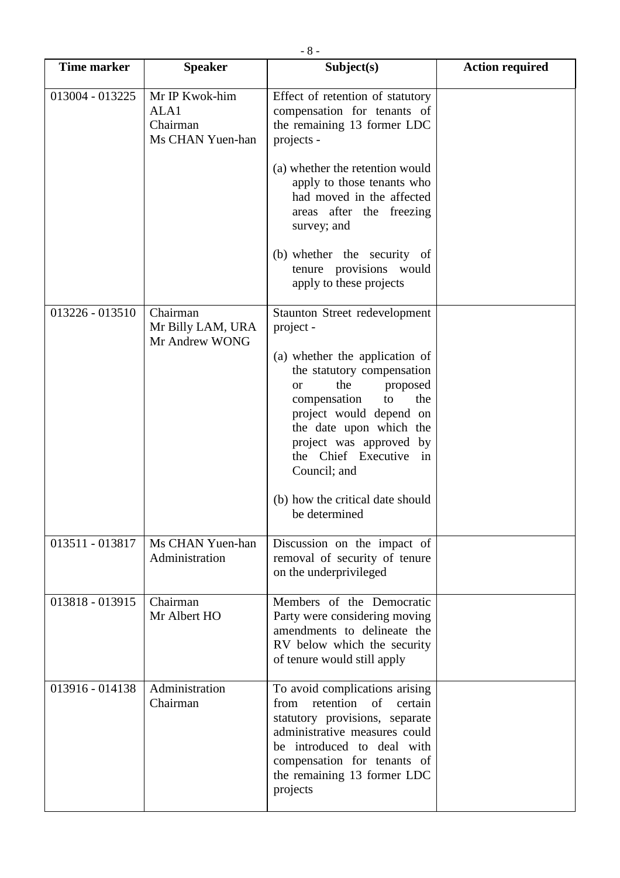| <b>Time marker</b> | <b>Speaker</b>                                         | - 0 -<br>Subject(s)                                                                                                                                                                                                                                      | <b>Action required</b> |
|--------------------|--------------------------------------------------------|----------------------------------------------------------------------------------------------------------------------------------------------------------------------------------------------------------------------------------------------------------|------------------------|
| 013004 - 013225    | Mr IP Kwok-him<br>ALA1<br>Chairman<br>Ms CHAN Yuen-han | Effect of retention of statutory<br>compensation for tenants of<br>the remaining 13 former LDC<br>projects -                                                                                                                                             |                        |
|                    |                                                        | (a) whether the retention would<br>apply to those tenants who<br>had moved in the affected<br>areas after the freezing<br>survey; and                                                                                                                    |                        |
|                    |                                                        | (b) whether the security of<br>tenure provisions would<br>apply to these projects                                                                                                                                                                        |                        |
| 013226 - 013510    | Chairman<br>Mr Billy LAM, URA<br>Mr Andrew WONG        | Staunton Street redevelopment<br>project -                                                                                                                                                                                                               |                        |
|                    |                                                        | (a) whether the application of<br>the statutory compensation<br>the<br>proposed<br><sub>or</sub><br>compensation<br>to<br>the<br>project would depend on<br>the date upon which the<br>project was approved by<br>the Chief Executive in<br>Council; and |                        |
|                    |                                                        | (b) how the critical date should<br>be determined                                                                                                                                                                                                        |                        |
| 013511 - 013817    | Ms CHAN Yuen-han<br>Administration                     | Discussion on the impact of<br>removal of security of tenure<br>on the underprivileged                                                                                                                                                                   |                        |
| 013818 - 013915    | Chairman<br>Mr Albert HO                               | Members of the Democratic<br>Party were considering moving<br>amendments to delineate the<br>RV below which the security<br>of tenure would still apply                                                                                                  |                        |
| 013916 - 014138    | Administration<br>Chairman                             | To avoid complications arising<br>retention<br>of<br>from<br>certain<br>statutory provisions, separate<br>administrative measures could<br>be introduced to deal with<br>compensation for tenants of<br>the remaining 13 former LDC<br>projects          |                        |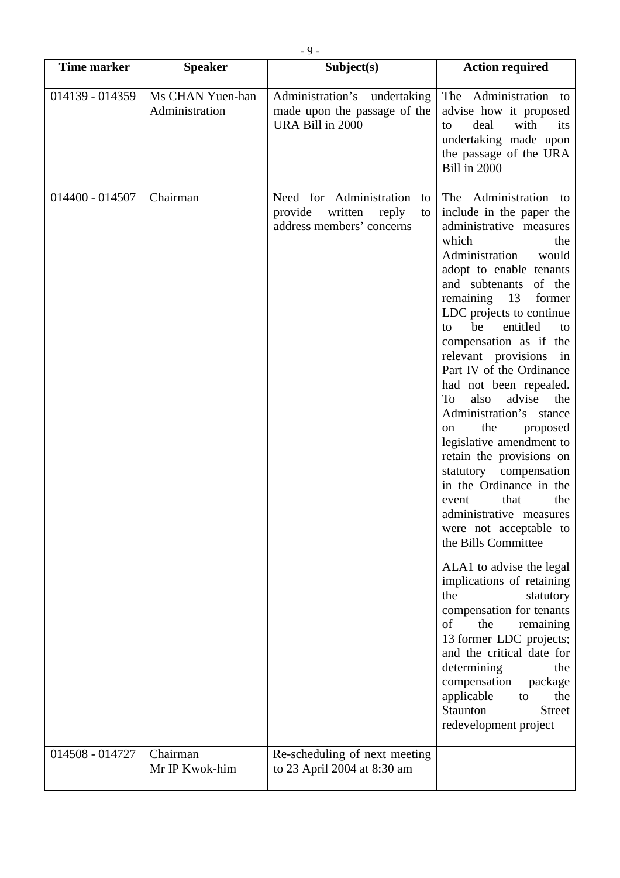| <b>Time marker</b> | <b>Speaker</b>                     | Subject(s)                                                                                      | <b>Action required</b>                                                                                                                                                                                                                                                                                                                                                                                                                                                                                                                                                                                                                                                                                                                                                                                                                                                                                                                                                                                        |
|--------------------|------------------------------------|-------------------------------------------------------------------------------------------------|---------------------------------------------------------------------------------------------------------------------------------------------------------------------------------------------------------------------------------------------------------------------------------------------------------------------------------------------------------------------------------------------------------------------------------------------------------------------------------------------------------------------------------------------------------------------------------------------------------------------------------------------------------------------------------------------------------------------------------------------------------------------------------------------------------------------------------------------------------------------------------------------------------------------------------------------------------------------------------------------------------------|
| 014139 - 014359    | Ms CHAN Yuen-han<br>Administration | Administration's undertaking<br>made upon the passage of the<br>URA Bill in 2000                | The Administration to<br>advise how it proposed<br>deal<br>with<br>its<br>to<br>undertaking made upon<br>the passage of the URA<br><b>Bill in 2000</b>                                                                                                                                                                                                                                                                                                                                                                                                                                                                                                                                                                                                                                                                                                                                                                                                                                                        |
| 014400 - 014507    | Chairman                           | Need for Administration<br>to<br>provide<br>written<br>reply<br>to<br>address members' concerns | The Administration to<br>include in the paper the<br>administrative measures<br>which<br>the<br>Administration<br>would<br>adopt to enable tenants<br>and subtenants of the<br>remaining 13<br>former<br>LDC projects to continue<br>entitled<br>be<br>to<br>to<br>compensation as if the<br>relevant provisions<br>in<br>Part IV of the Ordinance<br>had not been repealed.<br>also<br>advise<br>the<br>To<br>Administration's stance<br>the<br>proposed<br>on<br>legislative amendment to<br>retain the provisions on<br>statutory compensation<br>in the Ordinance in the<br>that<br>the<br>event<br>administrative measures<br>were not acceptable to<br>the Bills Committee<br>ALA1 to advise the legal<br>implications of retaining<br>the<br>statutory<br>compensation for tenants<br>the<br>of<br>remaining<br>13 former LDC projects;<br>and the critical date for<br>determining<br>the<br>compensation<br>package<br>applicable<br>the<br>to<br>Staunton<br><b>Street</b><br>redevelopment project |
| 014508 - 014727    | Chairman                           | Re-scheduling of next meeting                                                                   |                                                                                                                                                                                                                                                                                                                                                                                                                                                                                                                                                                                                                                                                                                                                                                                                                                                                                                                                                                                                               |
|                    | Mr IP Kwok-him                     | to 23 April 2004 at 8:30 am                                                                     |                                                                                                                                                                                                                                                                                                                                                                                                                                                                                                                                                                                                                                                                                                                                                                                                                                                                                                                                                                                                               |